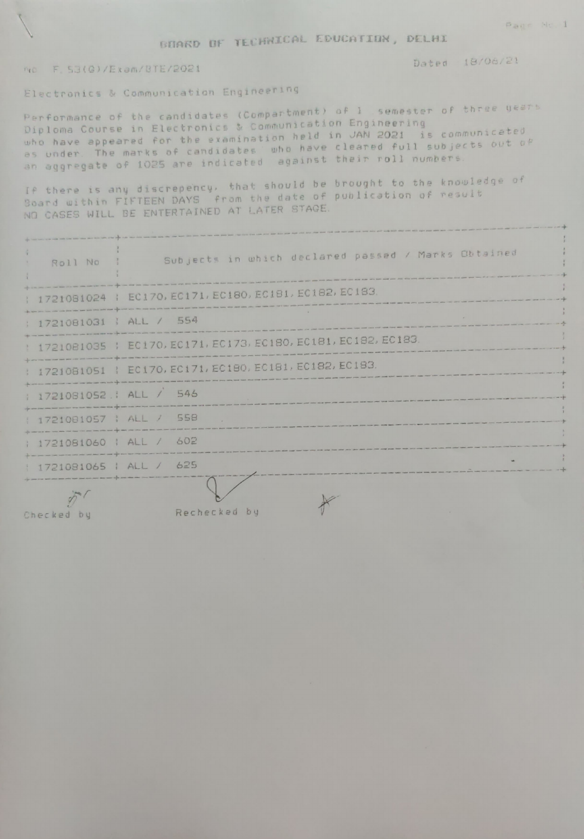BUARD OF TECHNICAL EDUCATION, DELHI

## No F. S3(G)/Exam/BTE/2021

Dated 18/06/21

Electronics & Communication Engineering

Performance of the candidates (Compartment) of I semester of three years Diploma Course in Electronics & Communication Engineering who have appeared for the examination held in JAN 2021 is communicated as under. The marks of candidates who have cleared full subjects out of an aggregate of 1025 are indicated against their roll numbers

If there is any discrepency, that should be brought to the knowledge of Board within FIFTEEN DAYS from the date of publication of result NO CASES WILL BE ENTERTAINED AT LATER STAGE.

| Roll No 1                                                                                                                                                         | Subjects in which declared passed / Marks Obtained                                                                                                                                                   |
|-------------------------------------------------------------------------------------------------------------------------------------------------------------------|------------------------------------------------------------------------------------------------------------------------------------------------------------------------------------------------------|
|                                                                                                                                                                   | 1 1721081024 : EC170, EC171, EC180, EC181, EC182, EC183.                                                                                                                                             |
| ; 1721081031 ; ALL / 554                                                                                                                                          | the last line over other work and the second and the state and sold made the work part was must also that have a                                                                                     |
|                                                                                                                                                                   | 1721081035   EC170, EC171, EC173, EC180, EC181, EC182, EC183,                                                                                                                                        |
|                                                                                                                                                                   | I was one was you can not need to be the two of the low of the seat that you can now out the two terms was your four own out one was two<br>: 1721061051   EC170, EC171, EC180, EC181, EC182, EC183. |
| As sent one can see our trans one was not transported the company and take the most state that there with any twen<br>1 1721081052 ; ALL / 546                    |                                                                                                                                                                                                      |
| : 1721081057 ; ALL / 558                                                                                                                                          |                                                                                                                                                                                                      |
| 1 1721081060   ALL / 602<br>the party and then best that with the contract of the contract of the contract of the contract of the contract of the contract of the |                                                                                                                                                                                                      |
| 1721081065   ALL / 625                                                                                                                                            |                                                                                                                                                                                                      |
| 1427                                                                                                                                                              |                                                                                                                                                                                                      |

Checked by

 $\mathbb{R}$ Rechecked by